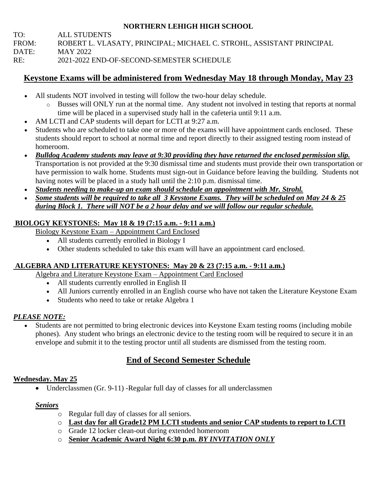## **NORTHERN LEHIGH HIGH SCHOOL**

TO: ALL STUDENTS FROM: ROBERT L. VLASATY, PRINCIPAL; MICHAEL C. STROHL, ASSISTANT PRINCIPAL DATE: MAY 2022 RE: 2021-2022 END-OF-SECOND-SEMESTER SCHEDULE

# **Keystone Exams will be administered from Wednesday May 18 through Monday, May 23**

- All students NOT involved in testing will follow the two-hour delay schedule.
	- o Busses will ONLY run at the normal time. Any student not involved in testing that reports at normal time will be placed in a supervised study hall in the cafeteria until 9:11 a.m.
- AM LCTI and CAP students will depart for LCTI at 9:27 a.m.
- Students who are scheduled to take one or more of the exams will have appointment cards enclosed. These students should report to school at normal time and report directly to their assigned testing room instead of homeroom.
- *Bulldog Academy students may leave at 9:30 providing they have returned the enclosed permission slip.* Transportation is not provided at the 9:30 dismissal time and students must provide their own transportation or have permission to walk home. Students must sign-out in Guidance before leaving the building. Students not having notes will be placed in a study hall until the 2:10 p.m. dismissal time.
- *Students needing to make-up an exam should schedule an appointment with Mr. Strohl.*
- *Some students will be required to take all 3 Keystone Exams. They will be scheduled on May 24 & 25 during Block 1. There will NOT be a 2 hour delay and we will follow our regular schedule.*

## **BIOLOGY KEYSTONES: May 18 & 19 (7:15 a.m. - 9:11 a.m.)**

Biology Keystone Exam – Appointment Card Enclosed

- All students currently enrolled in Biology I
- Other students scheduled to take this exam will have an appointment card enclosed.

## **ALGEBRA AND LITERATURE KEYSTONES: May 20 & 23 (7:15 a.m. - 9:11 a.m.)**

Algebra and Literature Keystone Exam – Appointment Card Enclosed

- All students currently enrolled in English II
- All Juniors currently enrolled in an English course who have not taken the Literature Keystone Exam
- Students who need to take or retake Algebra 1

## *PLEASE NOTE:*

• Students are not permitted to bring electronic devices into Keystone Exam testing rooms (including mobile phones). Any student who brings an electronic device to the testing room will be required to secure it in an envelope and submit it to the testing proctor until all students are dismissed from the testing room.

# **End of Second Semester Schedule**

## **Wednesday. May 25**

• Underclassmen (Gr. 9-11) - Regular full day of classes for all underclassmen

### *Seniors*

- o Regular full day of classes for all seniors.
- o **Last day for all Grade12 PM LCTI students and senior CAP students to report to LCTI**
- o Grade 12 locker clean-out during extended homeroom
- o **Senior Academic Award Night 6:30 p.m.** *BY INVITATION ONLY*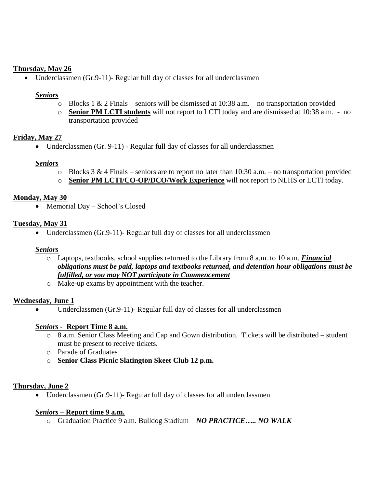### **Thursday, May 26**

• Underclassmen (Gr.9-11)- Regular full day of classes for all underclassmen

#### *Seniors*

- $\circ$  Blocks 1 & 2 Finals seniors will be dismissed at 10:38 a.m. no transportation provided
- o **Senior PM LCTI students** will not report to LCTI today and are dismissed at 10:38 a.m. no transportation provided

### **Friday, May 27**

• Underclassmen (Gr. 9-11) - Regular full day of classes for all underclassmen

#### *Seniors*

- $\circ$  Blocks 3 & 4 Finals seniors are to report no later than 10:30 a.m. no transportation provided
- o **Senior PM LCTI/CO-OP/DCO/Work Experience** will not report to NLHS or LCTI today.

### **Monday, May 30**

• Memorial Day – School's Closed

### **Tuesday, May 31**

• Underclassmen (Gr.9-11)- Regular full day of classes for all underclassmen

#### *Seniors*

- o Laptops, textbooks, school supplies returned to the Library from 8 a.m. to 10 a.m. *Financial obligations must be paid, laptops and textbooks returned, and detention hour obligations must be fulfilled, or you may NOT participate in Commencement*
- o Make-up exams by appointment with the teacher.

#### **Wednesday, June 1**

• Underclassmen (Gr.9-11)- Regular full day of classes for all underclassmen

#### *Seniors -* **Report Time 8 a.m.**

- o 8 a.m. Senior Class Meeting and Cap and Gown distribution. Tickets will be distributed student must be present to receive tickets.
- o Parade of Graduates
- o **Senior Class Picnic Slatington Skeet Club 12 p.m.**

### **Thursday, June 2**

• Underclassmen (Gr.9-11)- Regular full day of classes for all underclassmen

#### *Seniors –* **Report time 9 a.m.**

o Graduation Practice 9 a.m. Bulldog Stadium – *NO PRACTICE….. NO WALK*